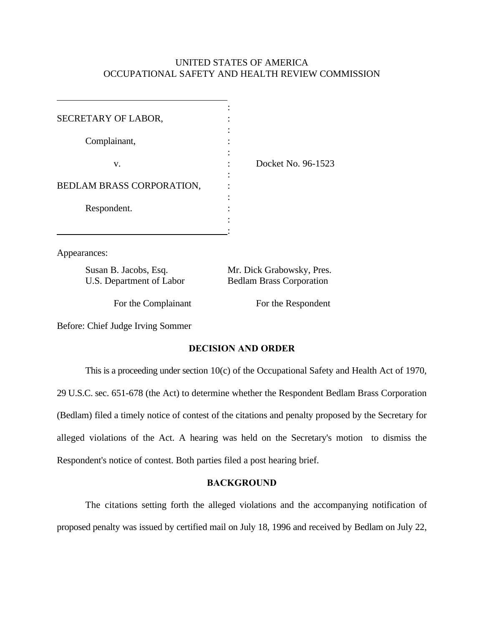## UNITED STATES OF AMERICA OCCUPATIONAL SAFETY AND HEALTH REVIEW COMMISSION

| SECRETARY OF LABOR,       |                    |
|---------------------------|--------------------|
| Complainant,              |                    |
| v.                        | Docket No. 96-1523 |
| BEDLAM BRASS CORPORATION, |                    |
| Respondent.               |                    |
|                           |                    |

Appearances:

Susan B. Jacobs, Esq. Mr. Dick Grabowsky, Pres.

U.S. Department of Labor Bedlam Brass Corporation

For the Complainant For the Respondent

Before: Chief Judge Irving Sommer

# **DECISION AND ORDER**

This is a proceeding under section 10(c) of the Occupational Safety and Health Act of 1970, 29 U.S.C. sec. 651-678 (the Act) to determine whether the Respondent Bedlam Brass Corporation (Bedlam) filed a timely notice of contest of the citations and penalty proposed by the Secretary for alleged violations of the Act. A hearing was held on the Secretary's motion to dismiss the Respondent's notice of contest. Both parties filed a post hearing brief.

## **BACKGROUND**

The citations setting forth the alleged violations and the accompanying notification of proposed penalty was issued by certified mail on July 18, 1996 and received by Bedlam on July 22,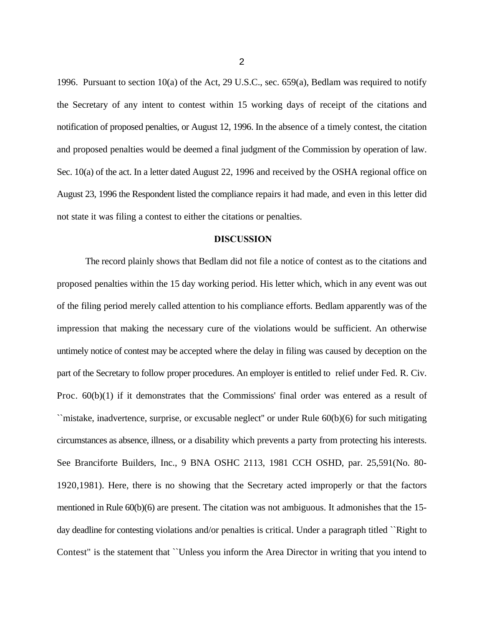1996. Pursuant to section 10(a) of the Act, 29 U.S.C., sec. 659(a), Bedlam was required to notify the Secretary of any intent to contest within 15 working days of receipt of the citations and notification of proposed penalties, or August 12, 1996. In the absence of a timely contest, the citation and proposed penalties would be deemed a final judgment of the Commission by operation of law. Sec. 10(a) of the act. In a letter dated August 22, 1996 and received by the OSHA regional office on August 23, 1996 the Respondent listed the compliance repairs it had made, and even in this letter did not state it was filing a contest to either the citations or penalties.

#### **DISCUSSION**

The record plainly shows that Bedlam did not file a notice of contest as to the citations and proposed penalties within the 15 day working period. His letter which, which in any event was out of the filing period merely called attention to his compliance efforts. Bedlam apparently was of the impression that making the necessary cure of the violations would be sufficient. An otherwise untimely notice of contest may be accepted where the delay in filing was caused by deception on the part of the Secretary to follow proper procedures. An employer is entitled to relief under Fed. R. Civ. Proc.  $60(b)(1)$  if it demonstrates that the Commissions' final order was entered as a result of ``mistake, inadvertence, surprise, or excusable neglect'' or under Rule 60(b)(6) for such mitigating circumstances as absence, illness, or a disability which prevents a party from protecting his interests. See Branciforte Builders, Inc., 9 BNA OSHC 2113, 1981 CCH OSHD, par. 25,591(No. 80- 1920,1981). Here, there is no showing that the Secretary acted improperly or that the factors mentioned in Rule 60(b)(6) are present. The citation was not ambiguous. It admonishes that the 15 day deadline for contesting violations and/or penalties is critical. Under a paragraph titled ``Right to Contest'' is the statement that ``Unless you inform the Area Director in writing that you intend to